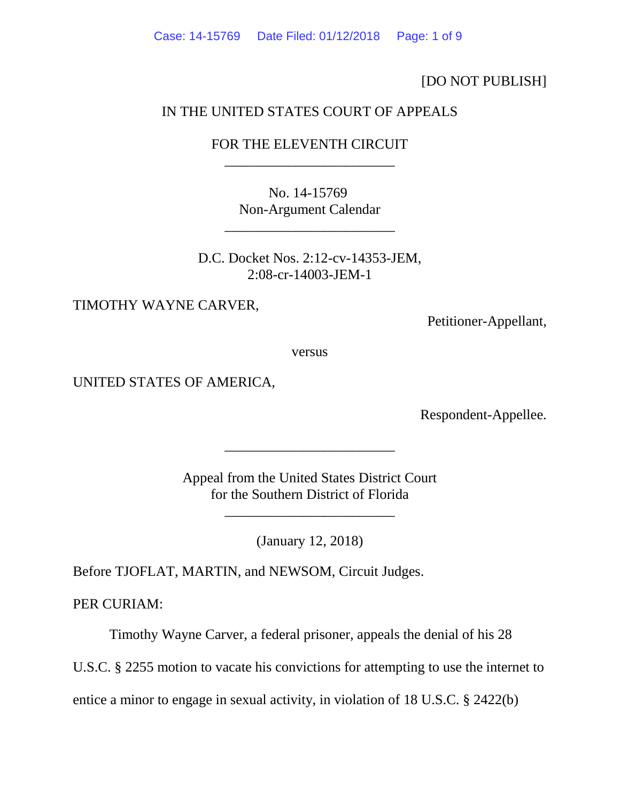[DO NOT PUBLISH]

## IN THE UNITED STATES COURT OF APPEALS

# FOR THE ELEVENTH CIRCUIT \_\_\_\_\_\_\_\_\_\_\_\_\_\_\_\_\_\_\_\_\_\_\_\_

No. 14-15769 Non-Argument Calendar

\_\_\_\_\_\_\_\_\_\_\_\_\_\_\_\_\_\_\_\_\_\_\_\_

D.C. Docket Nos. 2:12-cv-14353-JEM, 2:08-cr-14003-JEM-1

TIMOTHY WAYNE CARVER,

Petitioner-Appellant,

versus

UNITED STATES OF AMERICA,

Respondent-Appellee.

Appeal from the United States District Court for the Southern District of Florida

\_\_\_\_\_\_\_\_\_\_\_\_\_\_\_\_\_\_\_\_\_\_\_\_

\_\_\_\_\_\_\_\_\_\_\_\_\_\_\_\_\_\_\_\_\_\_\_\_

(January 12, 2018)

Before TJOFLAT, MARTIN, and NEWSOM, Circuit Judges.

PER CURIAM:

Timothy Wayne Carver, a federal prisoner, appeals the denial of his 28

U.S.C. § 2255 motion to vacate his convictions for attempting to use the internet to

entice a minor to engage in sexual activity, in violation of 18 U.S.C. § 2422(b)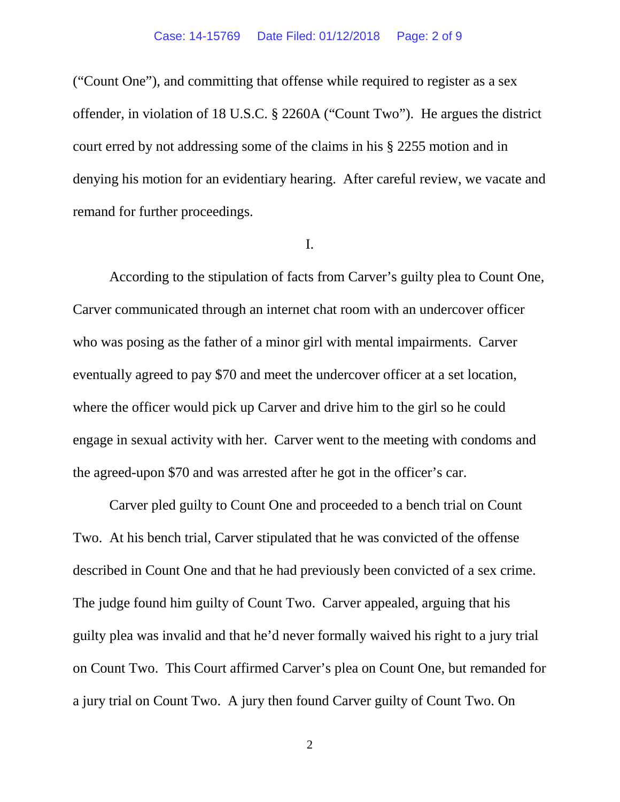("Count One"), and committing that offense while required to register as a sex offender, in violation of 18 U.S.C. § 2260A ("Count Two"). He argues the district court erred by not addressing some of the claims in his § 2255 motion and in denying his motion for an evidentiary hearing. After careful review, we vacate and remand for further proceedings.

#### I.

According to the stipulation of facts from Carver's guilty plea to Count One, Carver communicated through an internet chat room with an undercover officer who was posing as the father of a minor girl with mental impairments. Carver eventually agreed to pay \$70 and meet the undercover officer at a set location, where the officer would pick up Carver and drive him to the girl so he could engage in sexual activity with her. Carver went to the meeting with condoms and the agreed-upon \$70 and was arrested after he got in the officer's car.

Carver pled guilty to Count One and proceeded to a bench trial on Count Two. At his bench trial, Carver stipulated that he was convicted of the offense described in Count One and that he had previously been convicted of a sex crime. The judge found him guilty of Count Two. Carver appealed, arguing that his guilty plea was invalid and that he'd never formally waived his right to a jury trial on Count Two. This Court affirmed Carver's plea on Count One, but remanded for a jury trial on Count Two. A jury then found Carver guilty of Count Two. On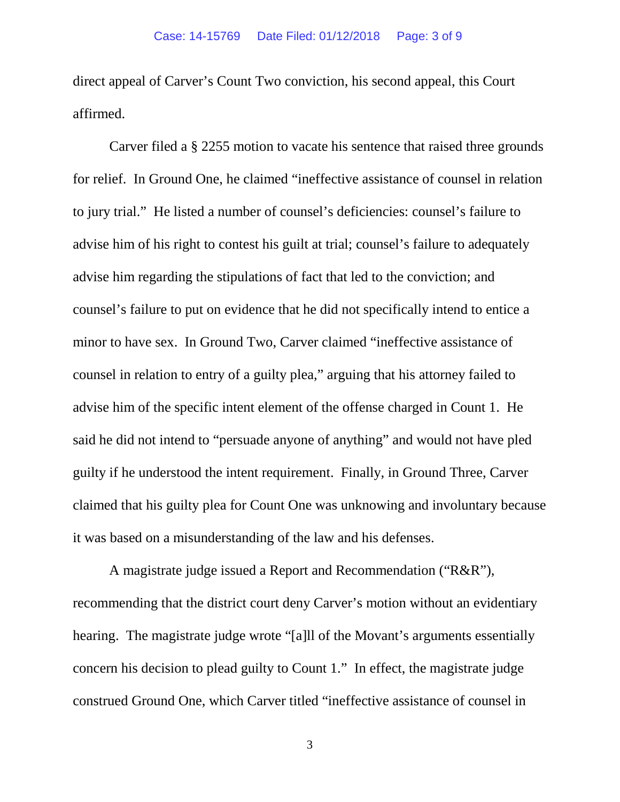direct appeal of Carver's Count Two conviction, his second appeal, this Court affirmed.

Carver filed a § 2255 motion to vacate his sentence that raised three grounds for relief. In Ground One, he claimed "ineffective assistance of counsel in relation to jury trial." He listed a number of counsel's deficiencies: counsel's failure to advise him of his right to contest his guilt at trial; counsel's failure to adequately advise him regarding the stipulations of fact that led to the conviction; and counsel's failure to put on evidence that he did not specifically intend to entice a minor to have sex. In Ground Two, Carver claimed "ineffective assistance of counsel in relation to entry of a guilty plea," arguing that his attorney failed to advise him of the specific intent element of the offense charged in Count 1. He said he did not intend to "persuade anyone of anything" and would not have pled guilty if he understood the intent requirement. Finally, in Ground Three, Carver claimed that his guilty plea for Count One was unknowing and involuntary because it was based on a misunderstanding of the law and his defenses.

A magistrate judge issued a Report and Recommendation ("R&R"), recommending that the district court deny Carver's motion without an evidentiary hearing. The magistrate judge wrote "[a]ll of the Movant's arguments essentially concern his decision to plead guilty to Count 1." In effect, the magistrate judge construed Ground One, which Carver titled "ineffective assistance of counsel in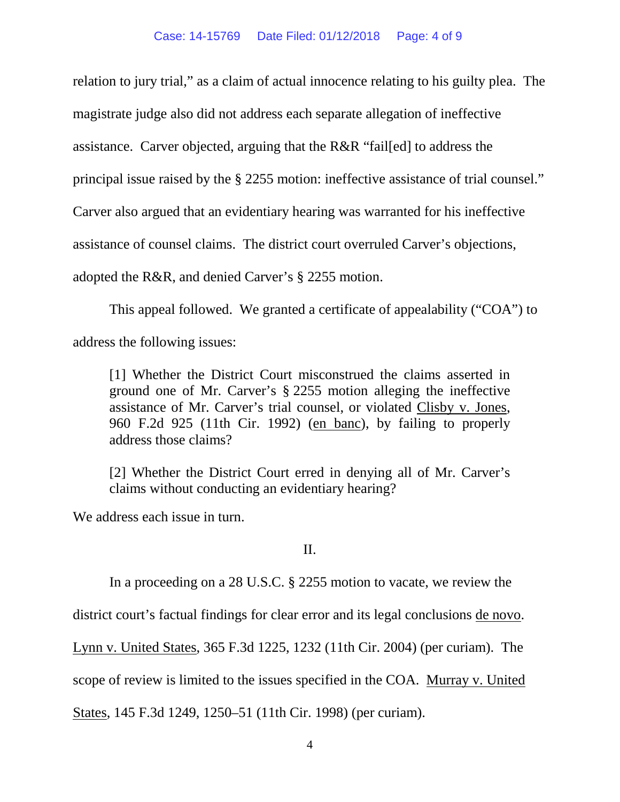relation to jury trial," as a claim of actual innocence relating to his guilty plea. The magistrate judge also did not address each separate allegation of ineffective assistance. Carver objected, arguing that the R&R "fail[ed] to address the principal issue raised by the § 2255 motion: ineffective assistance of trial counsel." Carver also argued that an evidentiary hearing was warranted for his ineffective assistance of counsel claims. The district court overruled Carver's objections, adopted the R&R, and denied Carver's § 2255 motion.

This appeal followed. We granted a certificate of appealability ("COA") to address the following issues:

[1] Whether the District Court misconstrued the claims asserted in ground one of Mr. Carver's § 2255 motion alleging the ineffective assistance of Mr. Carver's trial counsel, or violated Clisby v. Jones, 960 F.2d 925 (11th Cir. 1992) (en banc), by failing to properly address those claims?

[2] Whether the District Court erred in denying all of Mr. Carver's claims without conducting an evidentiary hearing?

We address each issue in turn.

### II.

In a proceeding on a 28 U.S.C. § 2255 motion to vacate, we review the

district court's factual findings for clear error and its legal conclusions de novo.

Lynn v. United States, 365 F.3d 1225, 1232 (11th Cir. 2004) (per curiam). The

scope of review is limited to the issues specified in the COA. Murray v. United

States, 145 F.3d 1249, 1250–51 (11th Cir. 1998) (per curiam).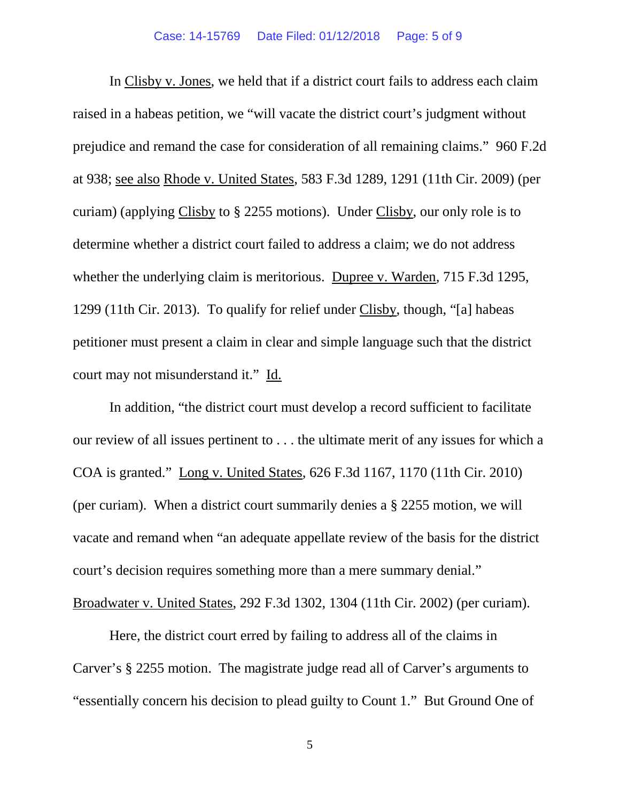In Clisby v. Jones, we held that if a district court fails to address each claim raised in a habeas petition, we "will vacate the district court's judgment without prejudice and remand the case for consideration of all remaining claims." 960 F.2d at 938; see also Rhode v. United States, 583 F.3d 1289, 1291 (11th Cir. 2009) (per curiam) (applying Clisby to § 2255 motions). Under Clisby, our only role is to determine whether a district court failed to address a claim; we do not address whether the underlying claim is meritorious. Dupree v. Warden*,* 715 F.3d 1295, 1299 (11th Cir. 2013). To qualify for relief under Clisby, though, "[a] habeas petitioner must present a claim in clear and simple language such that the district court may not misunderstand it." Id.

In addition, "the district court must develop a record sufficient to facilitate our review of all issues pertinent to . . . the ultimate merit of any issues for which a COA is granted." Long v. United States, 626 F.3d 1167, 1170 (11th Cir. 2010) (per curiam). When a district court summarily denies a § 2255 motion, we will vacate and remand when "an adequate appellate review of the basis for the district court's decision requires something more than a mere summary denial." Broadwater v. United States, 292 F.3d 1302, 1304 (11th Cir. 2002) (per curiam).

Here, the district court erred by failing to address all of the claims in Carver's § 2255 motion. The magistrate judge read all of Carver's arguments to "essentially concern his decision to plead guilty to Count 1." But Ground One of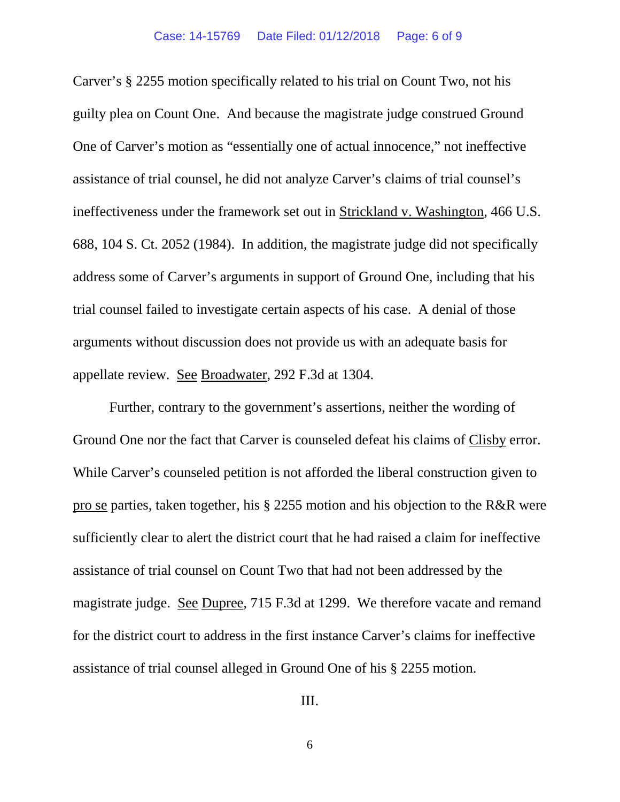Carver's § 2255 motion specifically related to his trial on Count Two, not his guilty plea on Count One. And because the magistrate judge construed Ground One of Carver's motion as "essentially one of actual innocence," not ineffective assistance of trial counsel, he did not analyze Carver's claims of trial counsel's ineffectiveness under the framework set out in Strickland v. Washington, 466 U.S. 688, 104 S. Ct. 2052 (1984). In addition, the magistrate judge did not specifically address some of Carver's arguments in support of Ground One, including that his trial counsel failed to investigate certain aspects of his case. A denial of those arguments without discussion does not provide us with an adequate basis for appellate review. See Broadwater, 292 F.3d at 1304.

Further, contrary to the government's assertions, neither the wording of Ground One nor the fact that Carver is counseled defeat his claims of Clisby error. While Carver's counseled petition is not afforded the liberal construction given to pro se parties, taken together, his § 2255 motion and his objection to the R&R were sufficiently clear to alert the district court that he had raised a claim for ineffective assistance of trial counsel on Count Two that had not been addressed by the magistrate judge. See Dupree*,* 715 F.3d at 1299. We therefore vacate and remand for the district court to address in the first instance Carver's claims for ineffective assistance of trial counsel alleged in Ground One of his § 2255 motion.

III.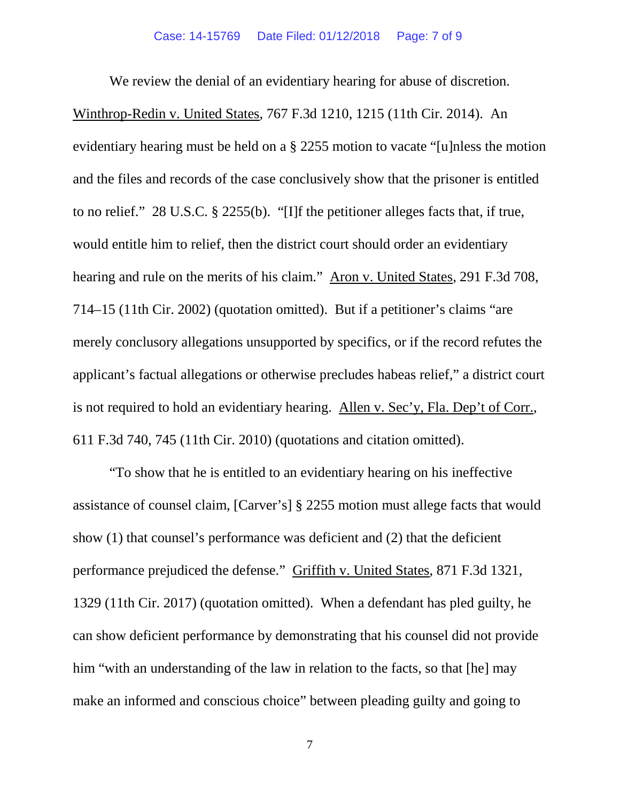We review the denial of an evidentiary hearing for abuse of discretion. Winthrop-Redin v. United States, 767 F.3d 1210, 1215 (11th Cir. 2014). An evidentiary hearing must be held on a § 2255 motion to vacate "[u]nless the motion and the files and records of the case conclusively show that the prisoner is entitled to no relief." 28 U.S.C. § 2255(b). "[I]f the petitioner alleges facts that, if true, would entitle him to relief, then the district court should order an evidentiary hearing and rule on the merits of his claim." Aron v. United States, 291 F.3d 708, 714–15 (11th Cir. 2002) (quotation omitted). But if a petitioner's claims "are merely conclusory allegations unsupported by specifics, or if the record refutes the applicant's factual allegations or otherwise precludes habeas relief," a district court is not required to hold an evidentiary hearing. Allen v. Sec'y, Fla. Dep't of Corr., 611 F.3d 740, 745 (11th Cir. 2010) (quotations and citation omitted).

"To show that he is entitled to an evidentiary hearing on his ineffective assistance of counsel claim, [Carver's] § 2255 motion must allege facts that would show (1) that counsel's performance was deficient and (2) that the deficient performance prejudiced the defense." Griffith v. United States, 871 F.3d 1321, 1329 (11th Cir. 2017) (quotation omitted). When a defendant has pled guilty, he can show deficient performance by demonstrating that his counsel did not provide him "with an understanding of the law in relation to the facts, so that [he] may make an informed and conscious choice" between pleading guilty and going to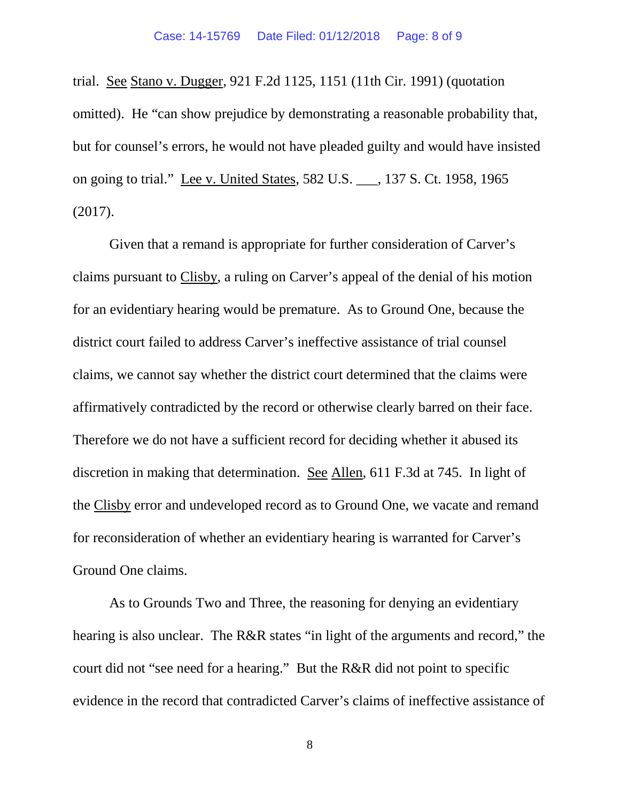trial. See Stano v. Dugger, 921 F.2d 1125, 1151 (11th Cir. 1991) (quotation omitted). He "can show prejudice by demonstrating a reasonable probability that, but for counsel's errors, he would not have pleaded guilty and would have insisted on going to trial." Lee v. United States, 582 U.S. \_\_\_, 137 S. Ct. 1958, 1965 (2017).

Given that a remand is appropriate for further consideration of Carver's claims pursuant to Clisby, a ruling on Carver's appeal of the denial of his motion for an evidentiary hearing would be premature. As to Ground One, because the district court failed to address Carver's ineffective assistance of trial counsel claims, we cannot say whether the district court determined that the claims were affirmatively contradicted by the record or otherwise clearly barred on their face. Therefore we do not have a sufficient record for deciding whether it abused its discretion in making that determination. See Allen, 611 F.3d at 745. In light of the Clisby error and undeveloped record as to Ground One, we vacate and remand for reconsideration of whether an evidentiary hearing is warranted for Carver's Ground One claims.

As to Grounds Two and Three, the reasoning for denying an evidentiary hearing is also unclear. The R&R states "in light of the arguments and record," the court did not "see need for a hearing." But the R&R did not point to specific evidence in the record that contradicted Carver's claims of ineffective assistance of